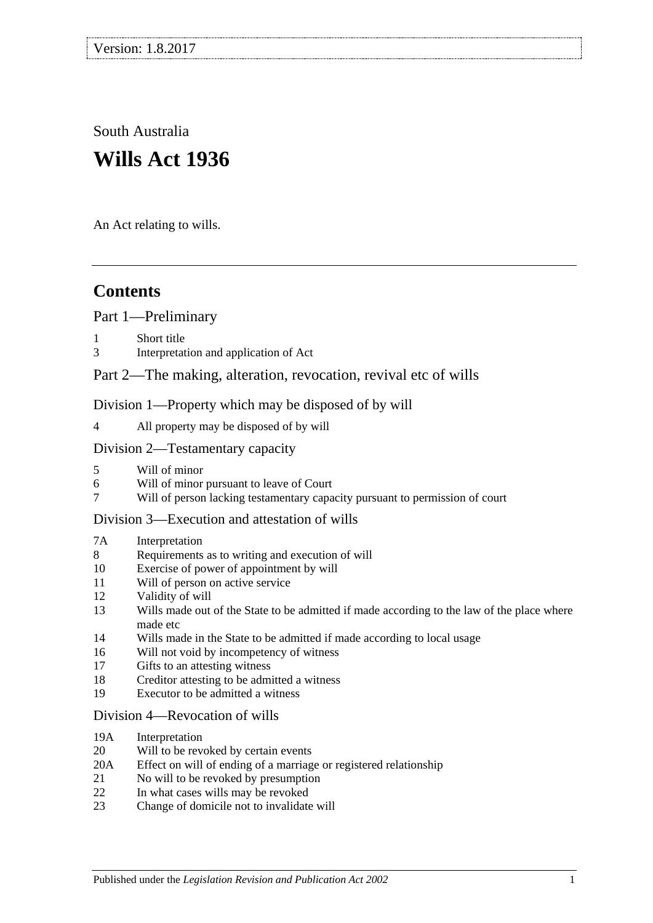South Australia

# **Wills Act 1936**

An Act relating to wills.

## **Contents**

[Part 1—Preliminary](#page-2-0)

- 1 [Short title](#page-2-1)
- 3 [Interpretation and application of Act](#page-2-2)

## [Part 2—The making, alteration, revocation, revival etc of wills](#page-3-0)

[Division 1—Property which may be disposed of by will](#page-3-1)

4 [All property may be disposed of by will](#page-3-2)

### [Division 2—Testamentary capacity](#page-3-3)

- 5 [Will of minor](#page-3-4)
- 6 [Will of minor pursuant to leave of Court](#page-3-5)<br>7 Will of person lacking testamentary capa
- 7 [Will of person lacking testamentary capacity pursuant to permission of court](#page-4-0)

### [Division 3—Execution and attestation of wills](#page-6-0)

#### 7A [Interpretation](#page-6-1)

- 8 [Requirements as to writing and execution of will](#page-6-2)
- 10 [Exercise of power of appointment by will](#page-6-3)
- 11 [Will of person on active service](#page-6-4)
- 12 [Validity of will](#page-6-5)
- 13 [Wills made out of the State to be admitted if made according to the law of the place where](#page-7-0)  [made etc](#page-7-0)
- 14 [Wills made in the State to be admitted if made according to local usage](#page-7-1)
- 16 [Will not void by incompetency of witness](#page-7-2)
- 17 [Gifts to an attesting witness](#page-7-3)
- 18 [Creditor attesting to be admitted a witness](#page-8-0)
- 19 [Executor to be admitted a witness](#page-8-1)

#### [Division 4—Revocation of wills](#page-8-2)

- 19A [Interpretation](#page-8-3)
- 20 [Will to be revoked by certain events](#page-8-4)
- 20A [Effect on will of ending of a marriage or registered relationship](#page-8-5)
- 21 [No will to be revoked by presumption](#page-9-0)
- 22 [In what cases wills may be revoked](#page-9-1)
- 23 [Change of domicile not to invalidate will](#page-10-0)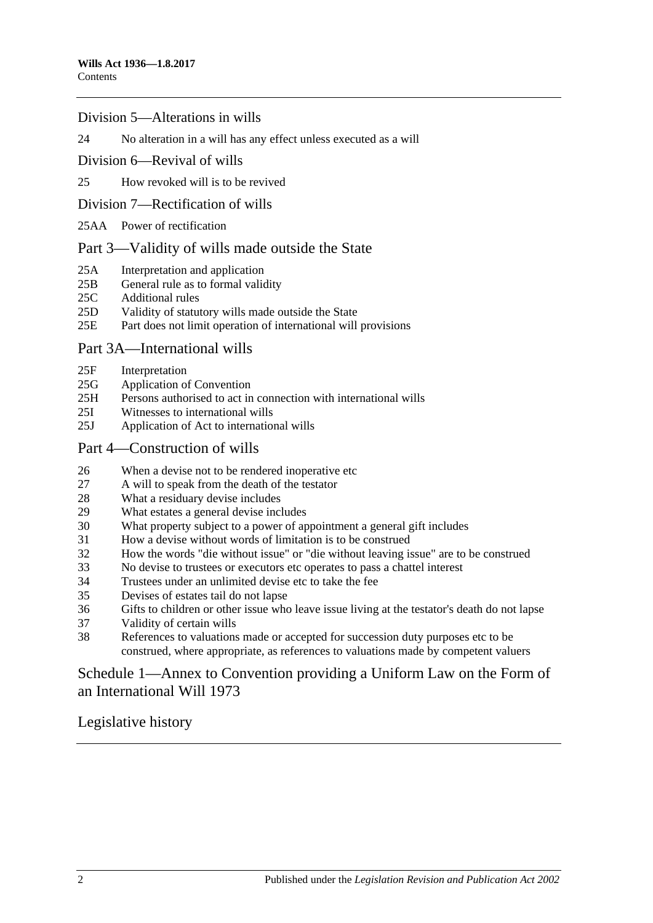#### [Division 5—Alterations in wills](#page-10-1)

24 [No alteration in a will has any effect unless executed as a will](#page-10-2)

- [Division 6—Revival of wills](#page-10-3)
- 25 [How revoked will is to be revived](#page-10-4)
- [Division 7—Rectification of wills](#page-10-5)
- 25AA [Power of rectification](#page-10-6)

#### [Part 3—Validity of wills made outside the State](#page-11-0)

- 25A [Interpretation and application](#page-11-1)
- 25B [General rule as to formal validity](#page-12-0)<br>25C Additional rules
- [Additional rules](#page-12-1)
- 25D [Validity of statutory wills made outside the State](#page-12-2)
- 25E [Part does not limit operation of international will provisions](#page-12-3)

#### [Part 3A—International wills](#page-12-4)

- 25F [Interpretation](#page-12-5)
- 25G [Application of Convention](#page-13-0)
- 25H [Persons authorised to act in connection with international wills](#page-13-1)
- 25I [Witnesses to international wills](#page-13-2)
- 25J [Application of Act to international wills](#page-13-3)

#### [Part 4—Construction of wills](#page-13-4)

- 26 [When a devise not to be rendered inoperative etc](#page-13-5)
- 27 [A will to speak from the death of the testator](#page-13-6)
- 28 [What a residuary devise includes](#page-14-0)
- 29 [What estates a general devise includes](#page-14-1)
- 30 [What property subject to a power of appointment a general gift includes](#page-14-2)
- 31 [How a devise without words of limitation is to be construed](#page-14-3)
- 32 [How the words "die without issue" or "die without leaving issue" are to be construed](#page-14-4)
- 33 [No devise to trustees or executors etc operates to pass a chattel interest](#page-15-0)
- 34 [Trustees under an unlimited devise etc to take the fee](#page-15-1)
- 35 [Devises of estates tail do not lapse](#page-15-2)
- 36 [Gifts to children or other issue who leave issue living at the testator's death do not lapse](#page-15-3)
- 37 [Validity of certain wills](#page-15-4)
- 38 [References to valuations made or accepted for succession duty purposes etc to be](#page-16-0)  [construed, where appropriate, as references to valuations made by competent valuers](#page-16-0)

## [Schedule 1—Annex to Convention providing a Uniform Law on the Form of](#page-16-1)  [an International Will](#page-16-1) 1973

[Legislative history](#page-20-0)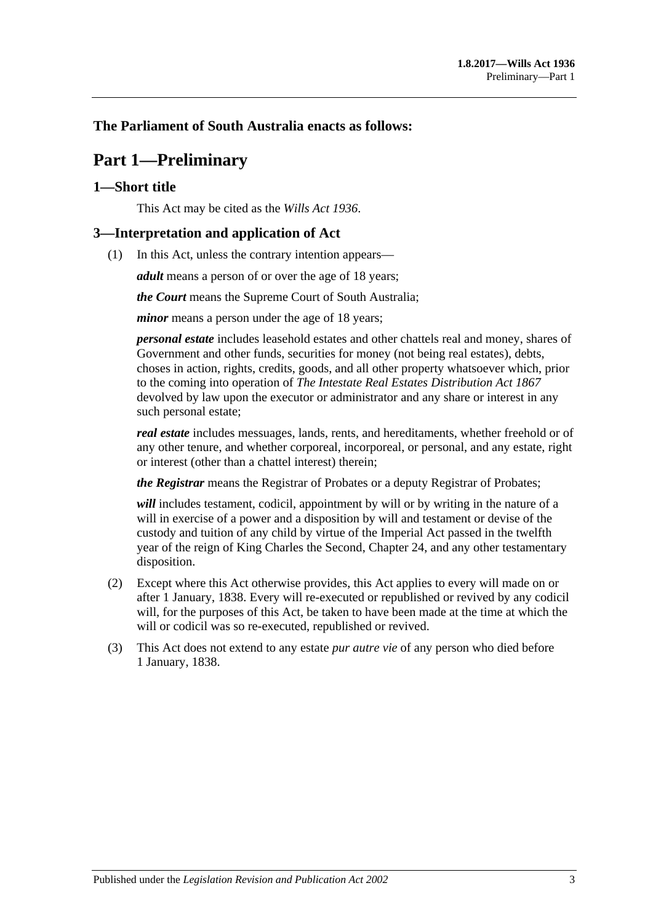## <span id="page-2-0"></span>**The Parliament of South Australia enacts as follows:**

## **Part 1—Preliminary**

### <span id="page-2-1"></span>**1—Short title**

This Act may be cited as the *Wills Act 1936*.

#### <span id="page-2-2"></span>**3—Interpretation and application of Act**

(1) In this Act, unless the contrary intention appears—

*adult* means a person of or over the age of 18 years;

*the Court* means the Supreme Court of South Australia;

*minor* means a person under the age of 18 years;

*personal estate* includes leasehold estates and other chattels real and money, shares of Government and other funds, securities for money (not being real estates), debts, choses in action, rights, credits, goods, and all other property whatsoever which, prior to the coming into operation of *[The Intestate Real Estates Distribution Act](http://www.legislation.sa.gov.au/index.aspx?action=legref&type=act&legtitle=The%20Intestate%20Real%20Estates%20Distribution%20Act%201867) 1867* devolved by law upon the executor or administrator and any share or interest in any such personal estate;

*real estate* includes messuages, lands, rents, and hereditaments, whether freehold or of any other tenure, and whether corporeal, incorporeal, or personal, and any estate, right or interest (other than a chattel interest) therein;

*the Registrar* means the Registrar of Probates or a deputy Registrar of Probates;

*will* includes testament, codicil, appointment by will or by writing in the nature of a will in exercise of a power and a disposition by will and testament or devise of the custody and tuition of any child by virtue of the Imperial Act passed in the twelfth year of the reign of King Charles the Second, Chapter 24, and any other testamentary disposition.

- (2) Except where this Act otherwise provides, this Act applies to every will made on or after 1 January, 1838. Every will re-executed or republished or revived by any codicil will, for the purposes of this Act, be taken to have been made at the time at which the will or codicil was so re-executed, republished or revived.
- (3) This Act does not extend to any estate *pur autre vie* of any person who died before 1 January, 1838.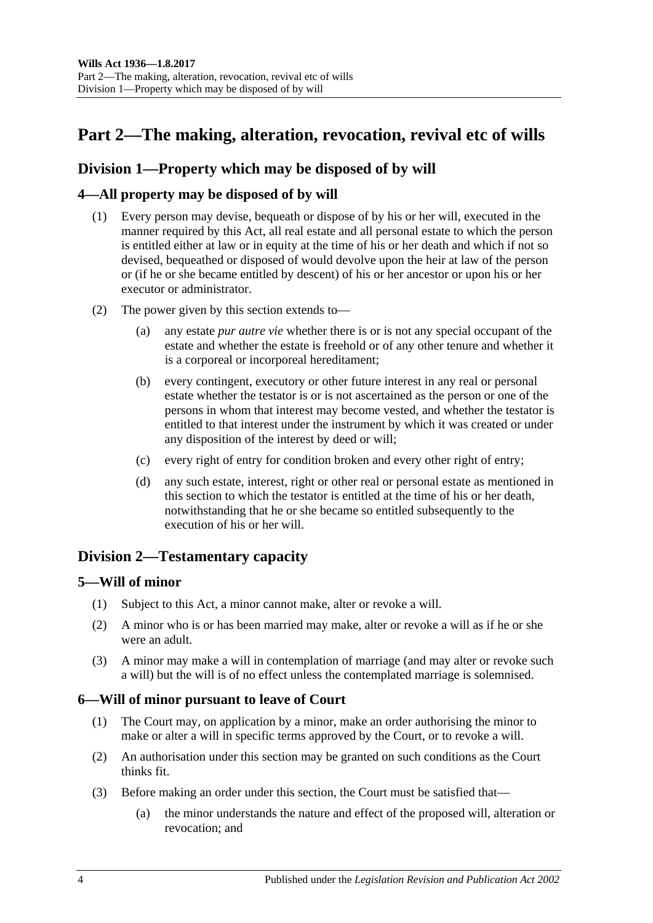## <span id="page-3-0"></span>Part 2—The making, alteration, revocation, revival etc of wills

## <span id="page-3-1"></span>**Division 1—Property which may be disposed of by will**

## <span id="page-3-2"></span>**4—All property may be disposed of by will**

- (1) Every person may devise, bequeath or dispose of by his or her will, executed in the manner required by this Act, all real estate and all personal estate to which the person is entitled either at law or in equity at the time of his or her death and which if not so devised, bequeathed or disposed of would devolve upon the heir at law of the person or (if he or she became entitled by descent) of his or her ancestor or upon his or her executor or administrator.
- (2) The power given by this section extends to—
	- (a) any estate *pur autre vie* whether there is or is not any special occupant of the estate and whether the estate is freehold or of any other tenure and whether it is a corporeal or incorporeal hereditament;
	- (b) every contingent, executory or other future interest in any real or personal estate whether the testator is or is not ascertained as the person or one of the persons in whom that interest may become vested, and whether the testator is entitled to that interest under the instrument by which it was created or under any disposition of the interest by deed or will;
	- (c) every right of entry for condition broken and every other right of entry;
	- (d) any such estate, interest, right or other real or personal estate as mentioned in this section to which the testator is entitled at the time of his or her death, notwithstanding that he or she became so entitled subsequently to the execution of his or her will.

## <span id="page-3-3"></span>**Division 2—Testamentary capacity**

### <span id="page-3-4"></span>**5—Will of minor**

- (1) Subject to this Act, a minor cannot make, alter or revoke a will.
- (2) A minor who is or has been married may make, alter or revoke a will as if he or she were an adult.
- (3) A minor may make a will in contemplation of marriage (and may alter or revoke such a will) but the will is of no effect unless the contemplated marriage is solemnised.

### <span id="page-3-5"></span>**6—Will of minor pursuant to leave of Court**

- (1) The Court may, on application by a minor, make an order authorising the minor to make or alter a will in specific terms approved by the Court, or to revoke a will.
- (2) An authorisation under this section may be granted on such conditions as the Court thinks fit.
- (3) Before making an order under this section, the Court must be satisfied that—
	- (a) the minor understands the nature and effect of the proposed will, alteration or revocation; and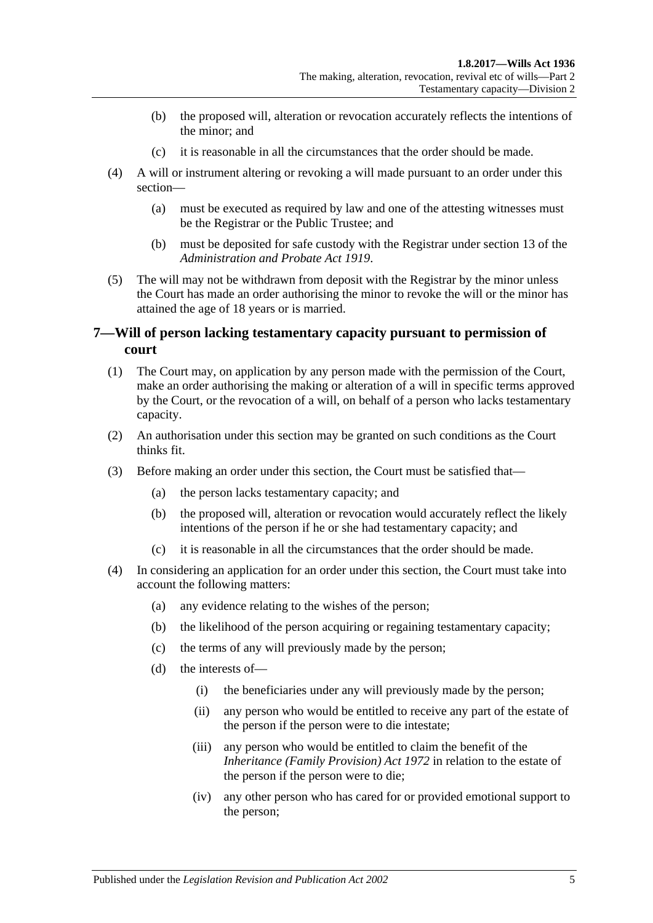- (b) the proposed will, alteration or revocation accurately reflects the intentions of the minor; and
- (c) it is reasonable in all the circumstances that the order should be made.
- (4) A will or instrument altering or revoking a will made pursuant to an order under this section—
	- (a) must be executed as required by law and one of the attesting witnesses must be the Registrar or the Public Trustee; and
	- (b) must be deposited for safe custody with the Registrar under section 13 of the *[Administration and Probate Act](http://www.legislation.sa.gov.au/index.aspx?action=legref&type=act&legtitle=Administration%20and%20Probate%20Act%201919) 1919*.
- (5) The will may not be withdrawn from deposit with the Registrar by the minor unless the Court has made an order authorising the minor to revoke the will or the minor has attained the age of 18 years or is married.

### <span id="page-4-0"></span>**7—Will of person lacking testamentary capacity pursuant to permission of court**

- (1) The Court may, on application by any person made with the permission of the Court, make an order authorising the making or alteration of a will in specific terms approved by the Court, or the revocation of a will, on behalf of a person who lacks testamentary capacity.
- (2) An authorisation under this section may be granted on such conditions as the Court thinks fit.
- (3) Before making an order under this section, the Court must be satisfied that—
	- (a) the person lacks testamentary capacity; and
	- (b) the proposed will, alteration or revocation would accurately reflect the likely intentions of the person if he or she had testamentary capacity; and
	- (c) it is reasonable in all the circumstances that the order should be made.
- (4) In considering an application for an order under this section, the Court must take into account the following matters:
	- (a) any evidence relating to the wishes of the person;
	- (b) the likelihood of the person acquiring or regaining testamentary capacity;
	- (c) the terms of any will previously made by the person;
	- (d) the interests of—
		- (i) the beneficiaries under any will previously made by the person;
		- (ii) any person who would be entitled to receive any part of the estate of the person if the person were to die intestate;
		- (iii) any person who would be entitled to claim the benefit of the *[Inheritance \(Family Provision\) Act](http://www.legislation.sa.gov.au/index.aspx?action=legref&type=act&legtitle=Inheritance%20(Family%20Provision)%20Act%201972) 1972* in relation to the estate of the person if the person were to die;
		- (iv) any other person who has cared for or provided emotional support to the person;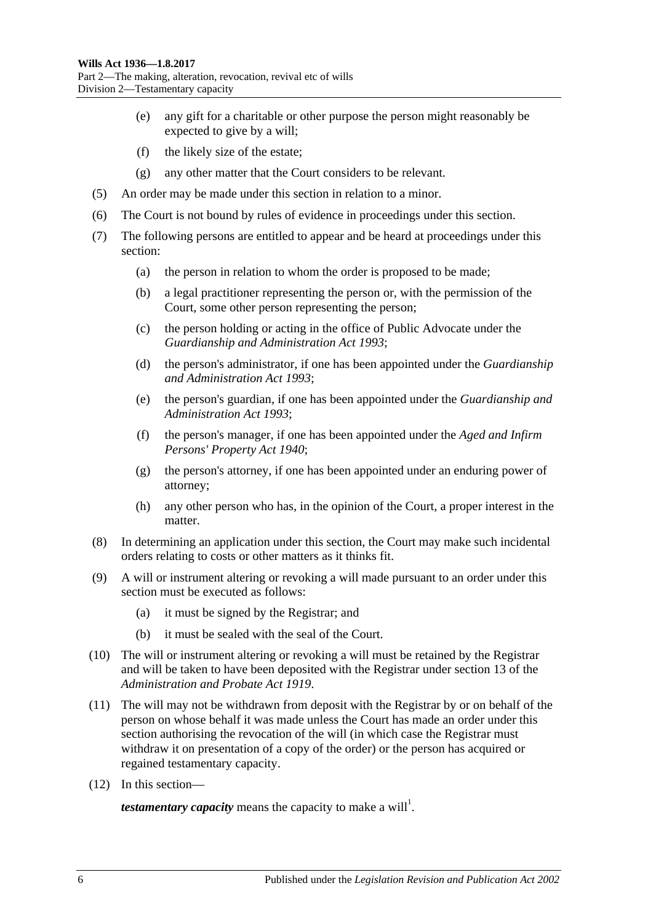- (e) any gift for a charitable or other purpose the person might reasonably be expected to give by a will;
- (f) the likely size of the estate;
- (g) any other matter that the Court considers to be relevant.
- (5) An order may be made under this section in relation to a minor.
- (6) The Court is not bound by rules of evidence in proceedings under this section.
- (7) The following persons are entitled to appear and be heard at proceedings under this section:
	- (a) the person in relation to whom the order is proposed to be made;
	- (b) a legal practitioner representing the person or, with the permission of the Court, some other person representing the person;
	- (c) the person holding or acting in the office of Public Advocate under the *[Guardianship and Administration Act](http://www.legislation.sa.gov.au/index.aspx?action=legref&type=act&legtitle=Guardianship%20and%20Administration%20Act%201993) 1993*;
	- (d) the person's administrator, if one has been appointed under the *[Guardianship](http://www.legislation.sa.gov.au/index.aspx?action=legref&type=act&legtitle=Guardianship%20and%20Administration%20Act%201993)  [and Administration Act](http://www.legislation.sa.gov.au/index.aspx?action=legref&type=act&legtitle=Guardianship%20and%20Administration%20Act%201993) 1993*;
	- (e) the person's guardian, if one has been appointed under the *[Guardianship and](http://www.legislation.sa.gov.au/index.aspx?action=legref&type=act&legtitle=Guardianship%20and%20Administration%20Act%201993)  [Administration Act](http://www.legislation.sa.gov.au/index.aspx?action=legref&type=act&legtitle=Guardianship%20and%20Administration%20Act%201993) 1993*;
	- (f) the person's manager, if one has been appointed under the *[Aged and Infirm](http://www.legislation.sa.gov.au/index.aspx?action=legref&type=act&legtitle=Aged%20and%20Infirm%20Persons%20Property%20Act%201940)  [Persons' Property Act](http://www.legislation.sa.gov.au/index.aspx?action=legref&type=act&legtitle=Aged%20and%20Infirm%20Persons%20Property%20Act%201940) 1940*;
	- (g) the person's attorney, if one has been appointed under an enduring power of attorney;
	- (h) any other person who has, in the opinion of the Court, a proper interest in the matter.
- (8) In determining an application under this section, the Court may make such incidental orders relating to costs or other matters as it thinks fit.
- (9) A will or instrument altering or revoking a will made pursuant to an order under this section must be executed as follows:
	- (a) it must be signed by the Registrar; and
	- (b) it must be sealed with the seal of the Court.
- (10) The will or instrument altering or revoking a will must be retained by the Registrar and will be taken to have been deposited with the Registrar under section 13 of the *[Administration and Probate Act](http://www.legislation.sa.gov.au/index.aspx?action=legref&type=act&legtitle=Administration%20and%20Probate%20Act%201919) 1919*.
- (11) The will may not be withdrawn from deposit with the Registrar by or on behalf of the person on whose behalf it was made unless the Court has made an order under this section authorising the revocation of the will (in which case the Registrar must withdraw it on presentation of a copy of the order) or the person has acquired or regained testamentary capacity.
- (12) In this section—

*testamentary capacity* means the capacity to make a will<sup>1</sup>.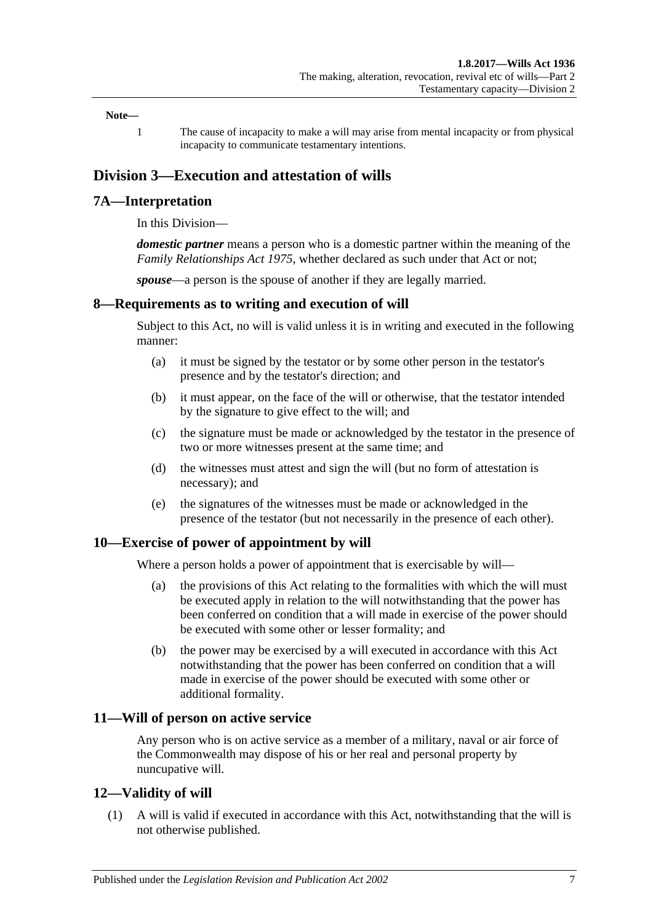#### **Note—**

1 The cause of incapacity to make a will may arise from mental incapacity or from physical incapacity to communicate testamentary intentions.

## <span id="page-6-0"></span>**Division 3—Execution and attestation of wills**

#### <span id="page-6-1"></span>**7A—Interpretation**

In this Division—

*domestic partner* means a person who is a domestic partner within the meaning of the *[Family Relationships Act](http://www.legislation.sa.gov.au/index.aspx?action=legref&type=act&legtitle=Family%20Relationships%20Act%201975) 1975*, whether declared as such under that Act or not;

*spouse*—a person is the spouse of another if they are legally married.

#### <span id="page-6-2"></span>**8—Requirements as to writing and execution of will**

Subject to this Act, no will is valid unless it is in writing and executed in the following manner:

- (a) it must be signed by the testator or by some other person in the testator's presence and by the testator's direction; and
- (b) it must appear, on the face of the will or otherwise, that the testator intended by the signature to give effect to the will; and
- (c) the signature must be made or acknowledged by the testator in the presence of two or more witnesses present at the same time; and
- (d) the witnesses must attest and sign the will (but no form of attestation is necessary); and
- (e) the signatures of the witnesses must be made or acknowledged in the presence of the testator (but not necessarily in the presence of each other).

#### <span id="page-6-3"></span>**10—Exercise of power of appointment by will**

Where a person holds a power of appointment that is exercisable by will—

- (a) the provisions of this Act relating to the formalities with which the will must be executed apply in relation to the will notwithstanding that the power has been conferred on condition that a will made in exercise of the power should be executed with some other or lesser formality; and
- (b) the power may be exercised by a will executed in accordance with this Act notwithstanding that the power has been conferred on condition that a will made in exercise of the power should be executed with some other or additional formality.

#### <span id="page-6-4"></span>**11—Will of person on active service**

Any person who is on active service as a member of a military, naval or air force of the Commonwealth may dispose of his or her real and personal property by nuncupative will.

#### <span id="page-6-5"></span>**12—Validity of will**

(1) A will is valid if executed in accordance with this Act, notwithstanding that the will is not otherwise published.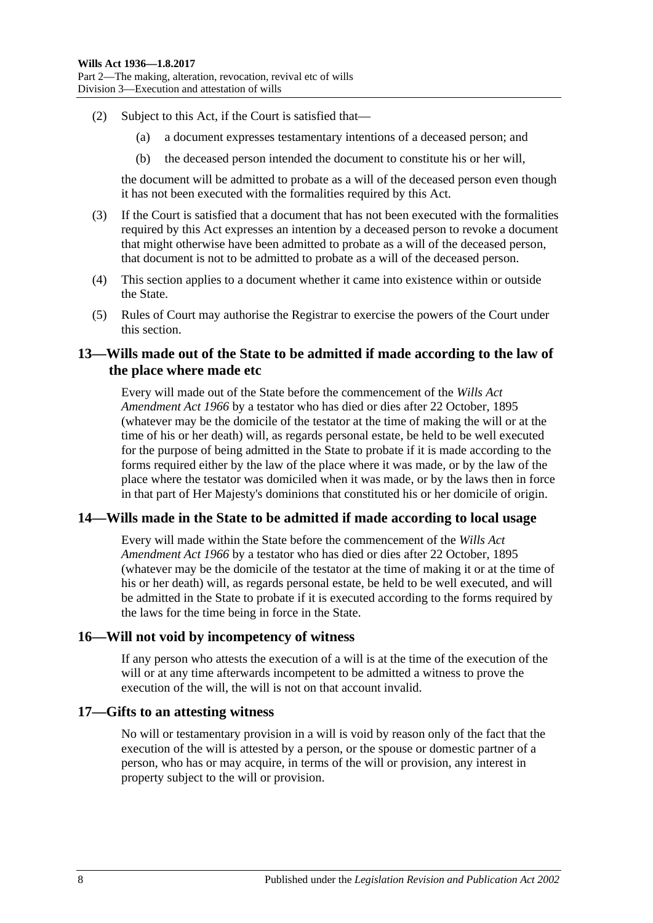- (2) Subject to this Act, if the Court is satisfied that—
	- (a) a document expresses testamentary intentions of a deceased person; and
	- (b) the deceased person intended the document to constitute his or her will,

the document will be admitted to probate as a will of the deceased person even though it has not been executed with the formalities required by this Act.

- <span id="page-7-4"></span>(3) If the Court is satisfied that a document that has not been executed with the formalities required by this Act expresses an intention by a deceased person to revoke a document that might otherwise have been admitted to probate as a will of the deceased person, that document is not to be admitted to probate as a will of the deceased person.
- (4) This section applies to a document whether it came into existence within or outside the State.
- (5) Rules of Court may authorise the Registrar to exercise the powers of the Court under this section.

## <span id="page-7-0"></span>**13—Wills made out of the State to be admitted if made according to the law of the place where made etc**

Every will made out of the State before the commencement of the *[Wills Act](http://www.legislation.sa.gov.au/index.aspx?action=legref&type=act&legtitle=Wills%20Act%20Amendment%20Act%201966)  [Amendment Act](http://www.legislation.sa.gov.au/index.aspx?action=legref&type=act&legtitle=Wills%20Act%20Amendment%20Act%201966) 1966* by a testator who has died or dies after 22 October, 1895 (whatever may be the domicile of the testator at the time of making the will or at the time of his or her death) will, as regards personal estate, be held to be well executed for the purpose of being admitted in the State to probate if it is made according to the forms required either by the law of the place where it was made, or by the law of the place where the testator was domiciled when it was made, or by the laws then in force in that part of Her Majesty's dominions that constituted his or her domicile of origin.

#### <span id="page-7-1"></span>**14—Wills made in the State to be admitted if made according to local usage**

Every will made within the State before the commencement of the *[Wills Act](http://www.legislation.sa.gov.au/index.aspx?action=legref&type=act&legtitle=Wills%20Act%20Amendment%20Act%201966)  [Amendment Act](http://www.legislation.sa.gov.au/index.aspx?action=legref&type=act&legtitle=Wills%20Act%20Amendment%20Act%201966) 1966* by a testator who has died or dies after 22 October, 1895 (whatever may be the domicile of the testator at the time of making it or at the time of his or her death) will, as regards personal estate, be held to be well executed, and will be admitted in the State to probate if it is executed according to the forms required by the laws for the time being in force in the State.

#### <span id="page-7-2"></span>**16—Will not void by incompetency of witness**

If any person who attests the execution of a will is at the time of the execution of the will or at any time afterwards incompetent to be admitted a witness to prove the execution of the will, the will is not on that account invalid.

#### <span id="page-7-3"></span>**17—Gifts to an attesting witness**

No will or testamentary provision in a will is void by reason only of the fact that the execution of the will is attested by a person, or the spouse or domestic partner of a person, who has or may acquire, in terms of the will or provision, any interest in property subject to the will or provision.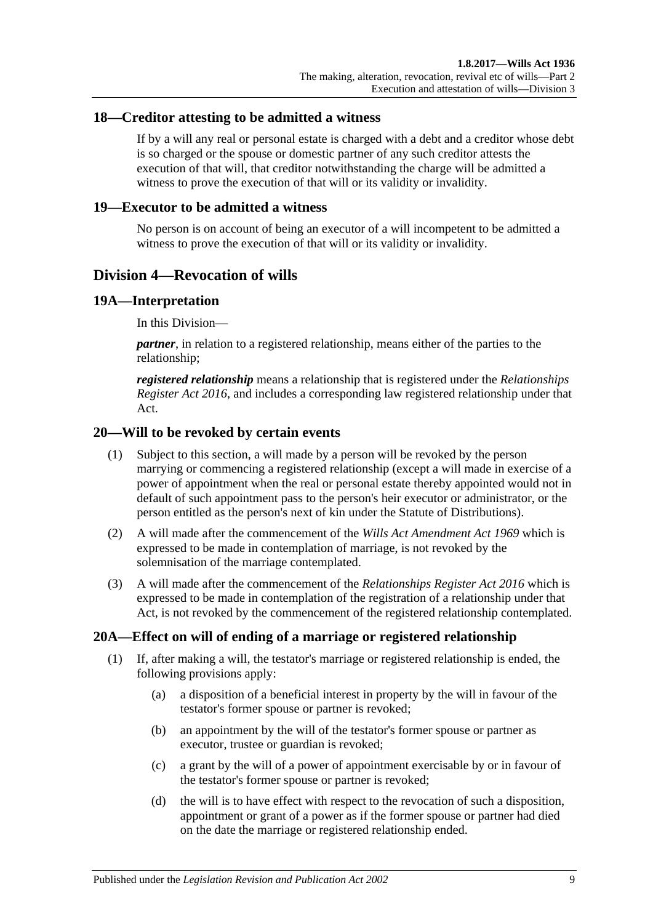#### <span id="page-8-0"></span>**18—Creditor attesting to be admitted a witness**

If by a will any real or personal estate is charged with a debt and a creditor whose debt is so charged or the spouse or domestic partner of any such creditor attests the execution of that will, that creditor notwithstanding the charge will be admitted a witness to prove the execution of that will or its validity or invalidity.

#### <span id="page-8-1"></span>**19—Executor to be admitted a witness**

No person is on account of being an executor of a will incompetent to be admitted a witness to prove the execution of that will or its validity or invalidity.

### <span id="page-8-2"></span>**Division 4—Revocation of wills**

#### <span id="page-8-3"></span>**19A—Interpretation**

In this Division—

*partner*, in relation to a registered relationship, means either of the parties to the relationship;

*registered relationship* means a relationship that is registered under the *[Relationships](http://www.legislation.sa.gov.au/index.aspx?action=legref&type=act&legtitle=Relationships%20Register%20Act%202016)  [Register Act](http://www.legislation.sa.gov.au/index.aspx?action=legref&type=act&legtitle=Relationships%20Register%20Act%202016) 2016*, and includes a corresponding law registered relationship under that Act.

#### <span id="page-8-4"></span>**20—Will to be revoked by certain events**

- (1) Subject to this section, a will made by a person will be revoked by the person marrying or commencing a registered relationship (except a will made in exercise of a power of appointment when the real or personal estate thereby appointed would not in default of such appointment pass to the person's heir executor or administrator, or the person entitled as the person's next of kin under the Statute of Distributions).
- (2) A will made after the commencement of the *[Wills Act Amendment Act](http://www.legislation.sa.gov.au/index.aspx?action=legref&type=act&legtitle=Wills%20Act%20Amendment%20Act%201969) 1969* which is expressed to be made in contemplation of marriage, is not revoked by the solemnisation of the marriage contemplated.
- (3) A will made after the commencement of the *[Relationships Register Act 2016](http://www.legislation.sa.gov.au/index.aspx?action=legref&type=act&legtitle=Relationships%20Register%20Act%202016)* which is expressed to be made in contemplation of the registration of a relationship under that Act, is not revoked by the commencement of the registered relationship contemplated.

### <span id="page-8-5"></span>**20A—Effect on will of ending of a marriage or registered relationship**

- (1) If, after making a will, the testator's marriage or registered relationship is ended, the following provisions apply:
	- (a) a disposition of a beneficial interest in property by the will in favour of the testator's former spouse or partner is revoked;
	- (b) an appointment by the will of the testator's former spouse or partner as executor, trustee or guardian is revoked;
	- (c) a grant by the will of a power of appointment exercisable by or in favour of the testator's former spouse or partner is revoked;
	- (d) the will is to have effect with respect to the revocation of such a disposition, appointment or grant of a power as if the former spouse or partner had died on the date the marriage or registered relationship ended.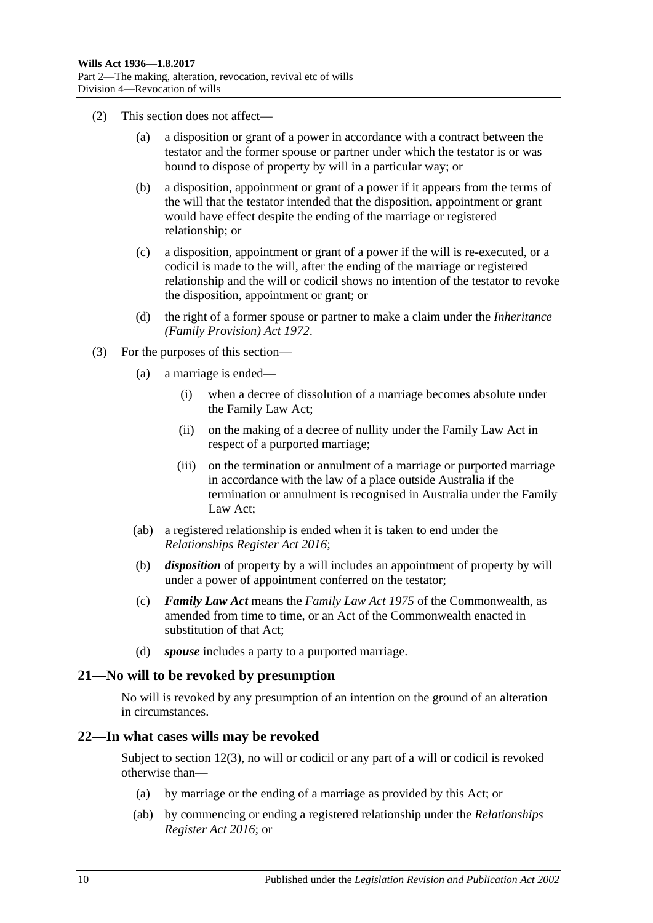- (2) This section does not affect—
	- (a) a disposition or grant of a power in accordance with a contract between the testator and the former spouse or partner under which the testator is or was bound to dispose of property by will in a particular way; or
	- (b) a disposition, appointment or grant of a power if it appears from the terms of the will that the testator intended that the disposition, appointment or grant would have effect despite the ending of the marriage or registered relationship; or
	- (c) a disposition, appointment or grant of a power if the will is re-executed, or a codicil is made to the will, after the ending of the marriage or registered relationship and the will or codicil shows no intention of the testator to revoke the disposition, appointment or grant; or
	- (d) the right of a former spouse or partner to make a claim under the *[Inheritance](http://www.legislation.sa.gov.au/index.aspx?action=legref&type=act&legtitle=Inheritance%20(Family%20Provision)%20Act%201972)  [\(Family Provision\) Act](http://www.legislation.sa.gov.au/index.aspx?action=legref&type=act&legtitle=Inheritance%20(Family%20Provision)%20Act%201972) 1972*.
- (3) For the purposes of this section—
	- (a) a marriage is ended—
		- (i) when a decree of dissolution of a marriage becomes absolute under the Family Law Act;
		- (ii) on the making of a decree of nullity under the Family Law Act in respect of a purported marriage;
		- (iii) on the termination or annulment of a marriage or purported marriage in accordance with the law of a place outside Australia if the termination or annulment is recognised in Australia under the Family Law Act;
	- (ab) a registered relationship is ended when it is taken to end under the *[Relationships Register Act](http://www.legislation.sa.gov.au/index.aspx?action=legref&type=act&legtitle=Relationships%20Register%20Act%202016) 2016*;
	- (b) *disposition* of property by a will includes an appointment of property by will under a power of appointment conferred on the testator;
	- (c) *Family Law Act* means the *Family Law Act 1975* of the Commonwealth, as amended from time to time, or an Act of the Commonwealth enacted in substitution of that Act;
	- (d) *spouse* includes a party to a purported marriage.

#### <span id="page-9-0"></span>**21—No will to be revoked by presumption**

No will is revoked by any presumption of an intention on the ground of an alteration in circumstances.

#### <span id="page-9-1"></span>**22—In what cases wills may be revoked**

Subject to [section](#page-7-4) 12(3), no will or codicil or any part of a will or codicil is revoked otherwise than—

- (a) by marriage or the ending of a marriage as provided by this Act; or
- (ab) by commencing or ending a registered relationship under the *[Relationships](http://www.legislation.sa.gov.au/index.aspx?action=legref&type=act&legtitle=Relationships%20Register%20Act%202016)  [Register Act](http://www.legislation.sa.gov.au/index.aspx?action=legref&type=act&legtitle=Relationships%20Register%20Act%202016) 2016*; or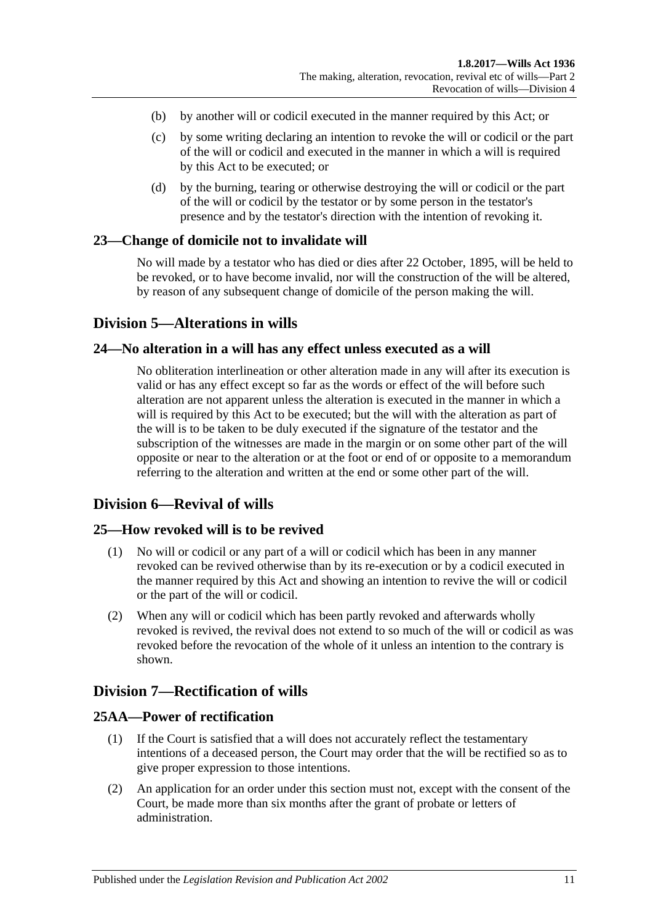- (b) by another will or codicil executed in the manner required by this Act; or
- (c) by some writing declaring an intention to revoke the will or codicil or the part of the will or codicil and executed in the manner in which a will is required by this Act to be executed; or
- (d) by the burning, tearing or otherwise destroying the will or codicil or the part of the will or codicil by the testator or by some person in the testator's presence and by the testator's direction with the intention of revoking it.

#### <span id="page-10-0"></span>**23—Change of domicile not to invalidate will**

No will made by a testator who has died or dies after 22 October, 1895, will be held to be revoked, or to have become invalid, nor will the construction of the will be altered, by reason of any subsequent change of domicile of the person making the will.

## <span id="page-10-1"></span>**Division 5—Alterations in wills**

#### <span id="page-10-2"></span>**24—No alteration in a will has any effect unless executed as a will**

No obliteration interlineation or other alteration made in any will after its execution is valid or has any effect except so far as the words or effect of the will before such alteration are not apparent unless the alteration is executed in the manner in which a will is required by this Act to be executed; but the will with the alteration as part of the will is to be taken to be duly executed if the signature of the testator and the subscription of the witnesses are made in the margin or on some other part of the will opposite or near to the alteration or at the foot or end of or opposite to a memorandum referring to the alteration and written at the end or some other part of the will.

### <span id="page-10-3"></span>**Division 6—Revival of wills**

#### <span id="page-10-4"></span>**25—How revoked will is to be revived**

- (1) No will or codicil or any part of a will or codicil which has been in any manner revoked can be revived otherwise than by its re-execution or by a codicil executed in the manner required by this Act and showing an intention to revive the will or codicil or the part of the will or codicil.
- (2) When any will or codicil which has been partly revoked and afterwards wholly revoked is revived, the revival does not extend to so much of the will or codicil as was revoked before the revocation of the whole of it unless an intention to the contrary is shown.

## <span id="page-10-5"></span>**Division 7—Rectification of wills**

## <span id="page-10-6"></span>**25AA—Power of rectification**

- (1) If the Court is satisfied that a will does not accurately reflect the testamentary intentions of a deceased person, the Court may order that the will be rectified so as to give proper expression to those intentions.
- (2) An application for an order under this section must not, except with the consent of the Court, be made more than six months after the grant of probate or letters of administration.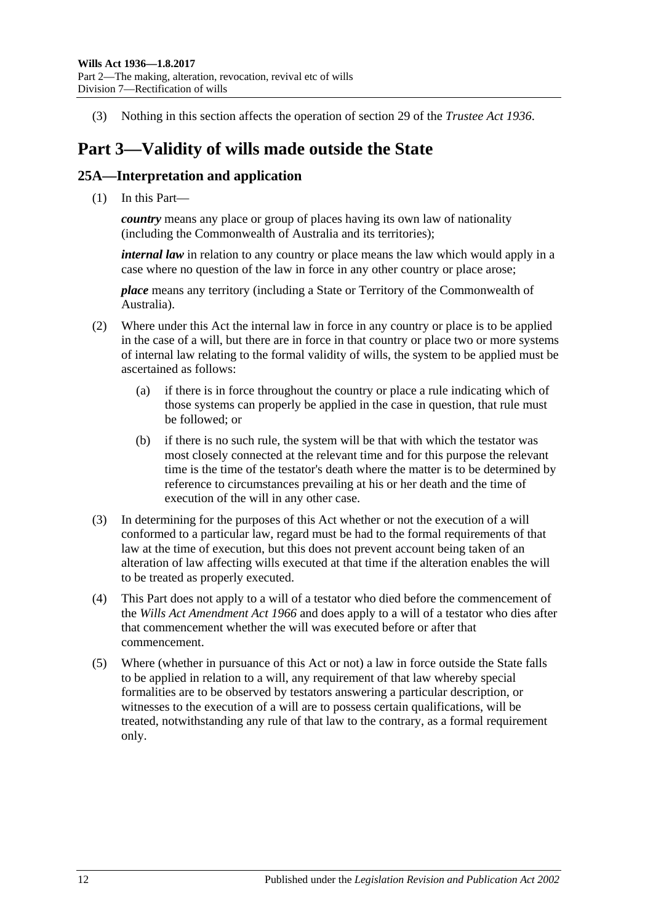(3) Nothing in this section affects the operation of section 29 of the *[Trustee Act](http://www.legislation.sa.gov.au/index.aspx?action=legref&type=act&legtitle=Trustee%20Act%201936) 1936*.

## <span id="page-11-0"></span>**Part 3—Validity of wills made outside the State**

## <span id="page-11-1"></span>**25A—Interpretation and application**

(1) In this Part—

*country* means any place or group of places having its own law of nationality (including the Commonwealth of Australia and its territories);

*internal law* in relation to any country or place means the law which would apply in a case where no question of the law in force in any other country or place arose;

*place* means any territory (including a State or Territory of the Commonwealth of Australia).

- (2) Where under this Act the internal law in force in any country or place is to be applied in the case of a will, but there are in force in that country or place two or more systems of internal law relating to the formal validity of wills, the system to be applied must be ascertained as follows:
	- (a) if there is in force throughout the country or place a rule indicating which of those systems can properly be applied in the case in question, that rule must be followed; or
	- (b) if there is no such rule, the system will be that with which the testator was most closely connected at the relevant time and for this purpose the relevant time is the time of the testator's death where the matter is to be determined by reference to circumstances prevailing at his or her death and the time of execution of the will in any other case.
- (3) In determining for the purposes of this Act whether or not the execution of a will conformed to a particular law, regard must be had to the formal requirements of that law at the time of execution, but this does not prevent account being taken of an alteration of law affecting wills executed at that time if the alteration enables the will to be treated as properly executed.
- (4) This Part does not apply to a will of a testator who died before the commencement of the *[Wills Act Amendment Act](http://www.legislation.sa.gov.au/index.aspx?action=legref&type=act&legtitle=Wills%20Act%20Amendment%20Act%201966) 1966* and does apply to a will of a testator who dies after that commencement whether the will was executed before or after that commencement.
- (5) Where (whether in pursuance of this Act or not) a law in force outside the State falls to be applied in relation to a will, any requirement of that law whereby special formalities are to be observed by testators answering a particular description, or witnesses to the execution of a will are to possess certain qualifications, will be treated, notwithstanding any rule of that law to the contrary, as a formal requirement only.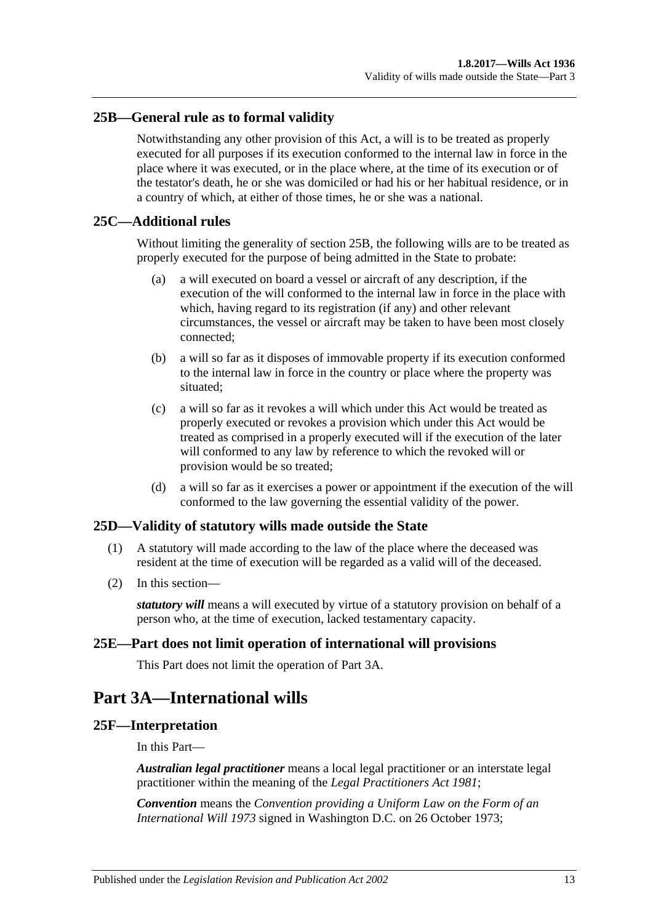## <span id="page-12-0"></span>**25B—General rule as to formal validity**

Notwithstanding any other provision of this Act, a will is to be treated as properly executed for all purposes if its execution conformed to the internal law in force in the place where it was executed, or in the place where, at the time of its execution or of the testator's death, he or she was domiciled or had his or her habitual residence, or in a country of which, at either of those times, he or she was a national.

### <span id="page-12-1"></span>**25C—Additional rules**

Without limiting the generality of [section](#page-12-0) 25B, the following wills are to be treated as properly executed for the purpose of being admitted in the State to probate:

- (a) a will executed on board a vessel or aircraft of any description, if the execution of the will conformed to the internal law in force in the place with which, having regard to its registration (if any) and other relevant circumstances, the vessel or aircraft may be taken to have been most closely connected;
- (b) a will so far as it disposes of immovable property if its execution conformed to the internal law in force in the country or place where the property was situated;
- (c) a will so far as it revokes a will which under this Act would be treated as properly executed or revokes a provision which under this Act would be treated as comprised in a properly executed will if the execution of the later will conformed to any law by reference to which the revoked will or provision would be so treated;
- (d) a will so far as it exercises a power or appointment if the execution of the will conformed to the law governing the essential validity of the power.

### <span id="page-12-2"></span>**25D—Validity of statutory wills made outside the State**

- (1) A statutory will made according to the law of the place where the deceased was resident at the time of execution will be regarded as a valid will of the deceased.
- (2) In this section—

*statutory will* means a will executed by virtue of a statutory provision on behalf of a person who, at the time of execution, lacked testamentary capacity.

### <span id="page-12-3"></span>**25E—Part does not limit operation of international will provisions**

This Part does not limit the operation of [Part 3A.](#page-12-4)

## <span id="page-12-4"></span>**Part 3A—International wills**

#### <span id="page-12-5"></span>**25F—Interpretation**

In this Part—

*Australian legal practitioner* means a local legal practitioner or an interstate legal practitioner within the meaning of the *[Legal Practitioners Act](http://www.legislation.sa.gov.au/index.aspx?action=legref&type=act&legtitle=Legal%20Practitioners%20Act%201981) 1981*;

*Convention* means the *Convention providing a Uniform Law on the Form of an International Will 1973* signed in Washington D.C. on 26 October 1973;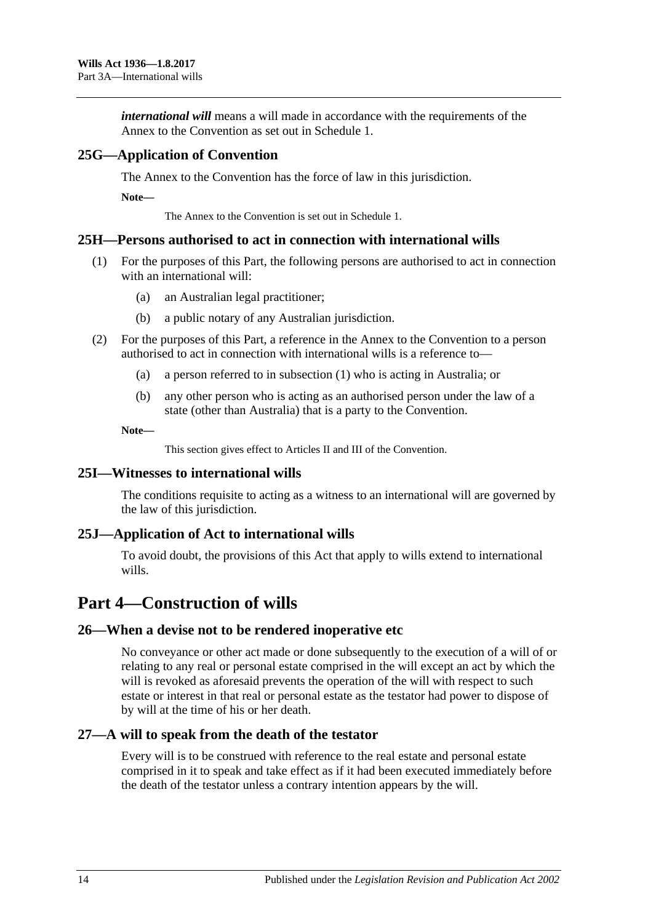*international will* means a will made in accordance with the requirements of the Annex to the Convention as set out in Schedule 1.

## <span id="page-13-0"></span>**25G—Application of Convention**

The Annex to the Convention has the force of law in this jurisdiction.

**Note—**

The Annex to the Convention is set out in Schedule 1.

### <span id="page-13-7"></span><span id="page-13-1"></span>**25H—Persons authorised to act in connection with international wills**

- (1) For the purposes of this Part, the following persons are authorised to act in connection with an international will:
	- (a) an Australian legal practitioner;
	- (b) a public notary of any Australian jurisdiction.
- (2) For the purposes of this Part, a reference in the Annex to the Convention to a person authorised to act in connection with international wills is a reference to—
	- (a) a person referred to in [subsection](#page-13-7) (1) who is acting in Australia; or
	- (b) any other person who is acting as an authorised person under the law of a state (other than Australia) that is a party to the Convention.

**Note—**

This section gives effect to Articles II and III of the Convention.

### <span id="page-13-2"></span>**25I—Witnesses to international wills**

The conditions requisite to acting as a witness to an international will are governed by the law of this jurisdiction.

### <span id="page-13-3"></span>**25J—Application of Act to international wills**

To avoid doubt, the provisions of this Act that apply to wills extend to international wills.

## <span id="page-13-4"></span>**Part 4—Construction of wills**

### <span id="page-13-5"></span>**26—When a devise not to be rendered inoperative etc**

No conveyance or other act made or done subsequently to the execution of a will of or relating to any real or personal estate comprised in the will except an act by which the will is revoked as aforesaid prevents the operation of the will with respect to such estate or interest in that real or personal estate as the testator had power to dispose of by will at the time of his or her death.

### <span id="page-13-6"></span>**27—A will to speak from the death of the testator**

Every will is to be construed with reference to the real estate and personal estate comprised in it to speak and take effect as if it had been executed immediately before the death of the testator unless a contrary intention appears by the will.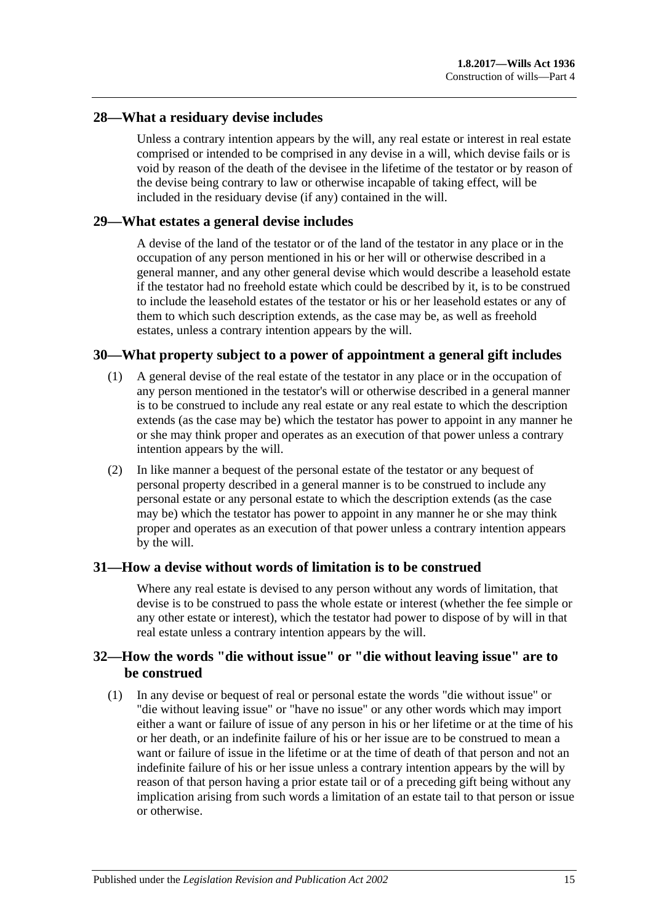#### <span id="page-14-0"></span>**28—What a residuary devise includes**

Unless a contrary intention appears by the will, any real estate or interest in real estate comprised or intended to be comprised in any devise in a will, which devise fails or is void by reason of the death of the devisee in the lifetime of the testator or by reason of the devise being contrary to law or otherwise incapable of taking effect, will be included in the residuary devise (if any) contained in the will.

#### <span id="page-14-1"></span>**29—What estates a general devise includes**

A devise of the land of the testator or of the land of the testator in any place or in the occupation of any person mentioned in his or her will or otherwise described in a general manner, and any other general devise which would describe a leasehold estate if the testator had no freehold estate which could be described by it, is to be construed to include the leasehold estates of the testator or his or her leasehold estates or any of them to which such description extends, as the case may be, as well as freehold estates, unless a contrary intention appears by the will.

### <span id="page-14-2"></span>**30—What property subject to a power of appointment a general gift includes**

- (1) A general devise of the real estate of the testator in any place or in the occupation of any person mentioned in the testator's will or otherwise described in a general manner is to be construed to include any real estate or any real estate to which the description extends (as the case may be) which the testator has power to appoint in any manner he or she may think proper and operates as an execution of that power unless a contrary intention appears by the will.
- (2) In like manner a bequest of the personal estate of the testator or any bequest of personal property described in a general manner is to be construed to include any personal estate or any personal estate to which the description extends (as the case may be) which the testator has power to appoint in any manner he or she may think proper and operates as an execution of that power unless a contrary intention appears by the will.

#### <span id="page-14-3"></span>**31—How a devise without words of limitation is to be construed**

Where any real estate is devised to any person without any words of limitation, that devise is to be construed to pass the whole estate or interest (whether the fee simple or any other estate or interest), which the testator had power to dispose of by will in that real estate unless a contrary intention appears by the will.

## <span id="page-14-4"></span>**32—How the words "die without issue" or "die without leaving issue" are to be construed**

<span id="page-14-5"></span>(1) In any devise or bequest of real or personal estate the words "die without issue" or "die without leaving issue" or "have no issue" or any other words which may import either a want or failure of issue of any person in his or her lifetime or at the time of his or her death, or an indefinite failure of his or her issue are to be construed to mean a want or failure of issue in the lifetime or at the time of death of that person and not an indefinite failure of his or her issue unless a contrary intention appears by the will by reason of that person having a prior estate tail or of a preceding gift being without any implication arising from such words a limitation of an estate tail to that person or issue or otherwise.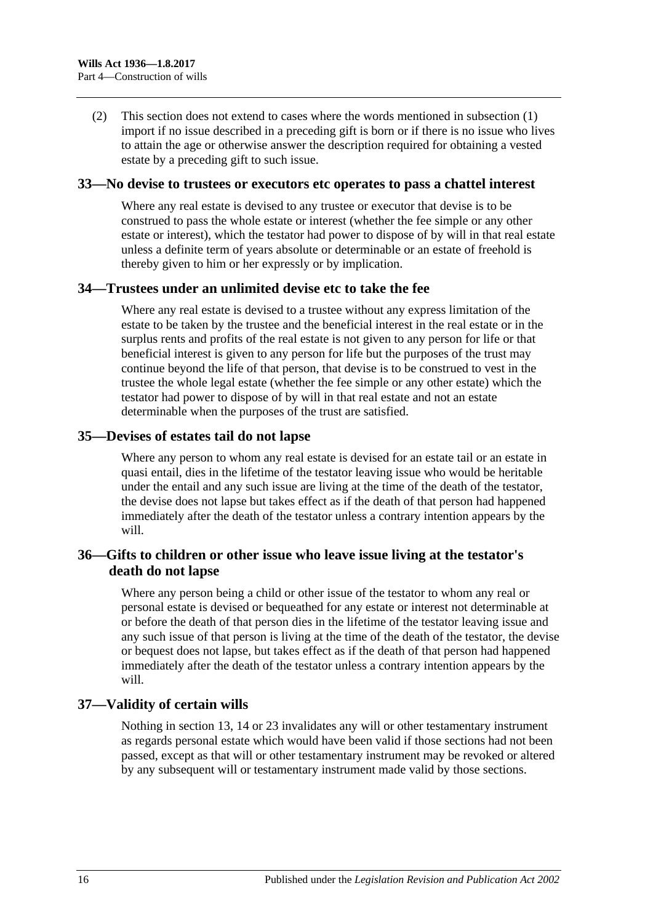(2) This section does not extend to cases where the words mentioned in [subsection](#page-14-5) (1) import if no issue described in a preceding gift is born or if there is no issue who lives to attain the age or otherwise answer the description required for obtaining a vested estate by a preceding gift to such issue.

#### <span id="page-15-0"></span>**33—No devise to trustees or executors etc operates to pass a chattel interest**

Where any real estate is devised to any trustee or executor that devise is to be construed to pass the whole estate or interest (whether the fee simple or any other estate or interest), which the testator had power to dispose of by will in that real estate unless a definite term of years absolute or determinable or an estate of freehold is thereby given to him or her expressly or by implication.

#### <span id="page-15-1"></span>**34—Trustees under an unlimited devise etc to take the fee**

Where any real estate is devised to a trustee without any express limitation of the estate to be taken by the trustee and the beneficial interest in the real estate or in the surplus rents and profits of the real estate is not given to any person for life or that beneficial interest is given to any person for life but the purposes of the trust may continue beyond the life of that person, that devise is to be construed to vest in the trustee the whole legal estate (whether the fee simple or any other estate) which the testator had power to dispose of by will in that real estate and not an estate determinable when the purposes of the trust are satisfied.

#### <span id="page-15-2"></span>**35—Devises of estates tail do not lapse**

Where any person to whom any real estate is devised for an estate tail or an estate in quasi entail, dies in the lifetime of the testator leaving issue who would be heritable under the entail and any such issue are living at the time of the death of the testator, the devise does not lapse but takes effect as if the death of that person had happened immediately after the death of the testator unless a contrary intention appears by the will.

## <span id="page-15-3"></span>**36—Gifts to children or other issue who leave issue living at the testator's death do not lapse**

Where any person being a child or other issue of the testator to whom any real or personal estate is devised or bequeathed for any estate or interest not determinable at or before the death of that person dies in the lifetime of the testator leaving issue and any such issue of that person is living at the time of the death of the testator, the devise or bequest does not lapse, but takes effect as if the death of that person had happened immediately after the death of the testator unless a contrary intention appears by the will

#### <span id="page-15-4"></span>**37—Validity of certain wills**

Nothing in [section](#page-7-0) 13, [14](#page-7-1) or [23](#page-10-0) invalidates any will or other testamentary instrument as regards personal estate which would have been valid if those sections had not been passed, except as that will or other testamentary instrument may be revoked or altered by any subsequent will or testamentary instrument made valid by those sections.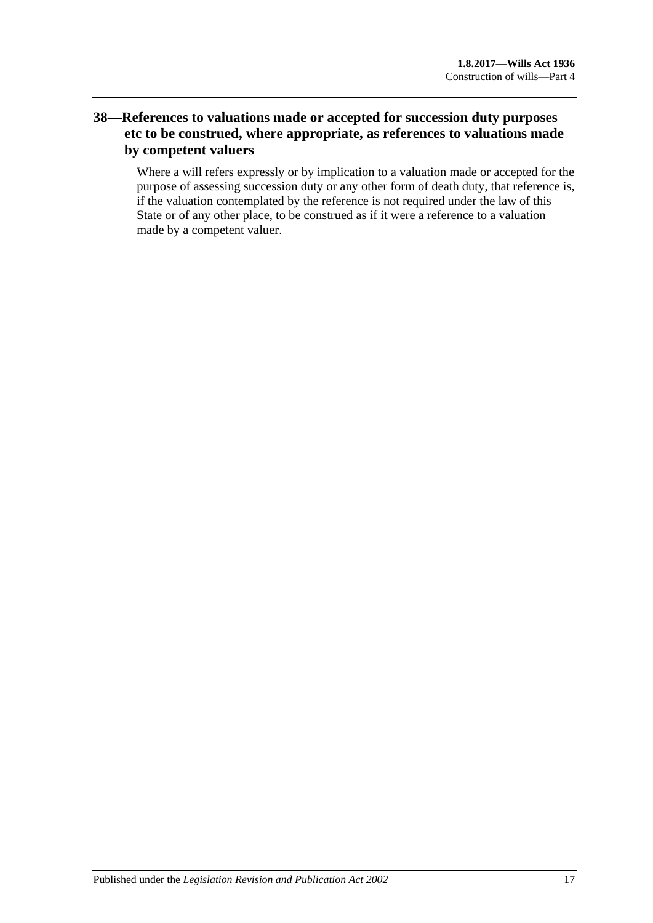## <span id="page-16-0"></span>**38—References to valuations made or accepted for succession duty purposes etc to be construed, where appropriate, as references to valuations made by competent valuers**

<span id="page-16-1"></span>Where a will refers expressly or by implication to a valuation made or accepted for the purpose of assessing succession duty or any other form of death duty, that reference is, if the valuation contemplated by the reference is not required under the law of this State or of any other place, to be construed as if it were a reference to a valuation made by a competent valuer.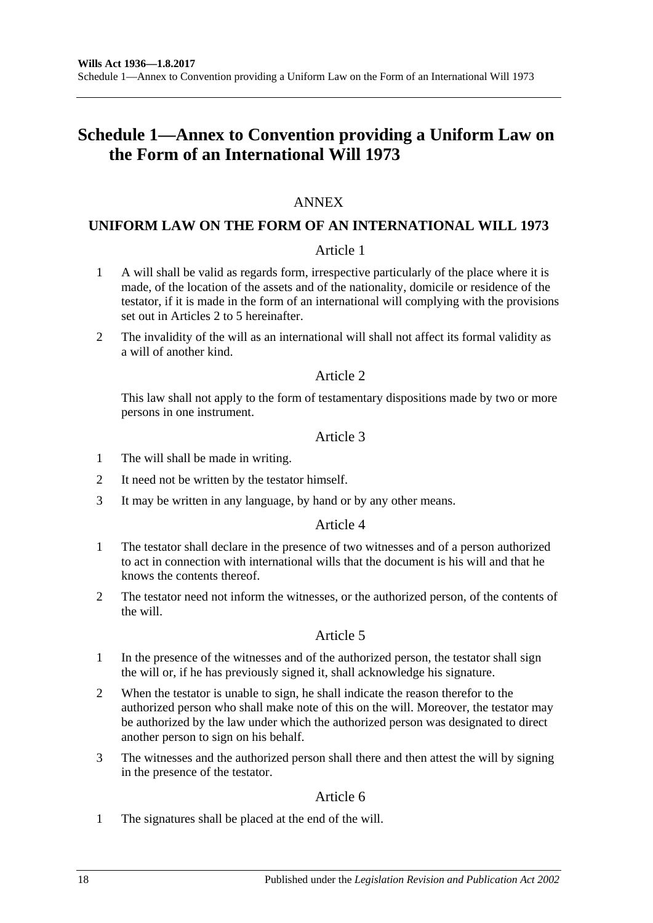## **Schedule 1—Annex to Convention providing a Uniform Law on the Form of an International Will 1973**

## ANNEX

## **UNIFORM LAW ON THE FORM OF AN INTERNATIONAL WILL 1973**

### Article 1

- 1 A will shall be valid as regards form, irrespective particularly of the place where it is made, of the location of the assets and of the nationality, domicile or residence of the testator, if it is made in the form of an international will complying with the provisions set out in Articles 2 to 5 hereinafter.
- 2 The invalidity of the will as an international will shall not affect its formal validity as a will of another kind.

### Article 2

This law shall not apply to the form of testamentary dispositions made by two or more persons in one instrument.

#### Article 3

- 1 The will shall be made in writing.
- 2 It need not be written by the testator himself.
- 3 It may be written in any language, by hand or by any other means.

### Article 4

- 1 The testator shall declare in the presence of two witnesses and of a person authorized to act in connection with international wills that the document is his will and that he knows the contents thereof.
- 2 The testator need not inform the witnesses, or the authorized person, of the contents of the will.

### Article 5

- 1 In the presence of the witnesses and of the authorized person, the testator shall sign the will or, if he has previously signed it, shall acknowledge his signature.
- 2 When the testator is unable to sign, he shall indicate the reason therefor to the authorized person who shall make note of this on the will. Moreover, the testator may be authorized by the law under which the authorized person was designated to direct another person to sign on his behalf.
- 3 The witnesses and the authorized person shall there and then attest the will by signing in the presence of the testator.

### Article 6

1 The signatures shall be placed at the end of the will.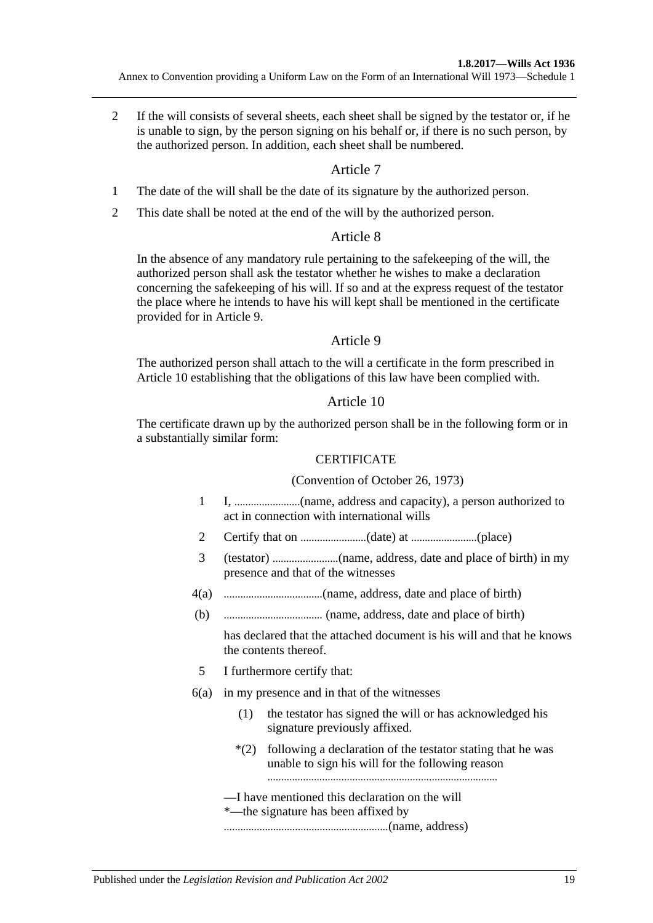2 If the will consists of several sheets, each sheet shall be signed by the testator or, if he is unable to sign, by the person signing on his behalf or, if there is no such person, by the authorized person. In addition, each sheet shall be numbered.

### Article 7

- 1 The date of the will shall be the date of its signature by the authorized person.
- 2 This date shall be noted at the end of the will by the authorized person.

### Article 8

In the absence of any mandatory rule pertaining to the safekeeping of the will, the authorized person shall ask the testator whether he wishes to make a declaration concerning the safekeeping of his will. If so and at the express request of the testator the place where he intends to have his will kept shall be mentioned in the certificate provided for in Article 9.

### Article 9

The authorized person shall attach to the will a certificate in the form prescribed in Article 10 establishing that the obligations of this law have been complied with.

### Article 10

The certificate drawn up by the authorized person shall be in the following form or in a substantially similar form:

#### **CERTIFICATE**

#### (Convention of October 26, 1973)

- 1 I, ........................(name, address and capacity), a person authorized to act in connection with international wills
- 2 Certify that on ........................(date) at ........................(place)
- 3 (testator) ........................(name, address, date and place of birth) in my presence and that of the witnesses
- 4(a) ....................................(name, address, date and place of birth)
- (b) .................................... (name, address, date and place of birth)

has declared that the attached document is his will and that he knows the contents thereof.

- 5 I furthermore certify that:
- 6(a) in my presence and in that of the witnesses
	- (1) the testator has signed the will or has acknowledged his signature previously affixed.
	- \*(2) following a declaration of the testator stating that he was unable to sign his will for the following reason
	- —I have mentioned this declaration on the will
	- \*—the signature has been affixed by

............................................................(name, address)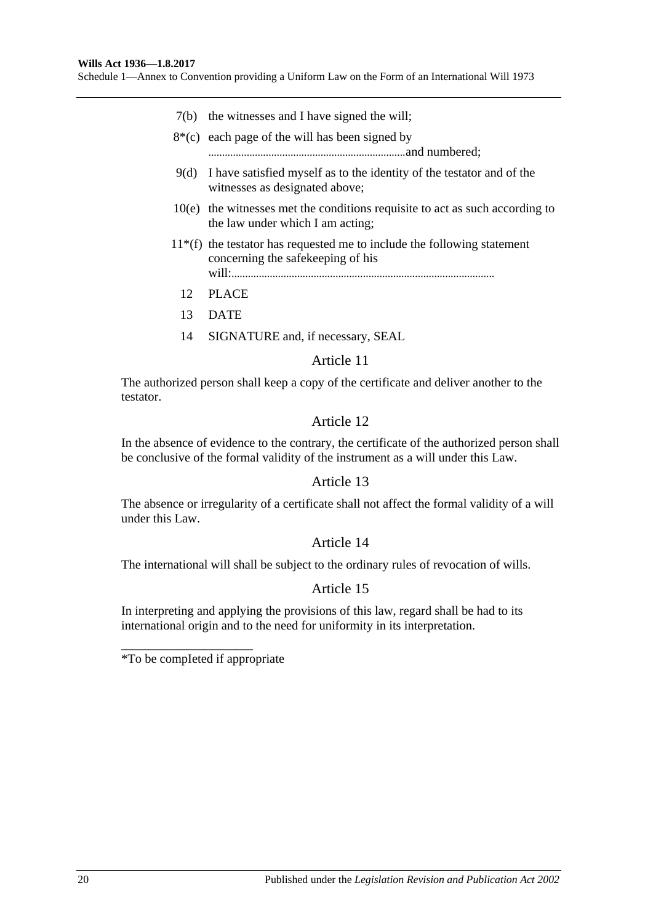Schedule 1—Annex to Convention providing a Uniform Law on the Form of an International Will 1973

- 7(b) the witnesses and I have signed the will;
- $8*(c)$  each page of the will has been signed by
- ........................................................................and numbered;
- 9(d) I have satisfied myself as to the identity of the testator and of the witnesses as designated above;
- 10(e) the witnesses met the conditions requisite to act as such according to the law under which I am acting;
- $11*(f)$  the testator has requested me to include the following statement concerning the safekeeping of his will:................................................................................................
	- 12 PLACE
	- 13 DATE
	- 14 SIGNATURE and, if necessary, SEAL

#### Article 11

The authorized person shall keep a copy of the certificate and deliver another to the testator.

#### Article 12

In the absence of evidence to the contrary, the certificate of the authorized person shall be conclusive of the formal validity of the instrument as a will under this Law.

#### Article 13

The absence or irregularity of a certificate shall not affect the formal validity of a will under this Law.

### Article 14

The international will shall be subject to the ordinary rules of revocation of wills.

### Article 15

In interpreting and applying the provisions of this law, regard shall be had to its international origin and to the need for uniformity in its interpretation.

\*To be compIeted if appropriate

\_\_\_\_\_\_\_\_\_\_\_\_\_\_\_\_\_\_\_\_\_\_\_\_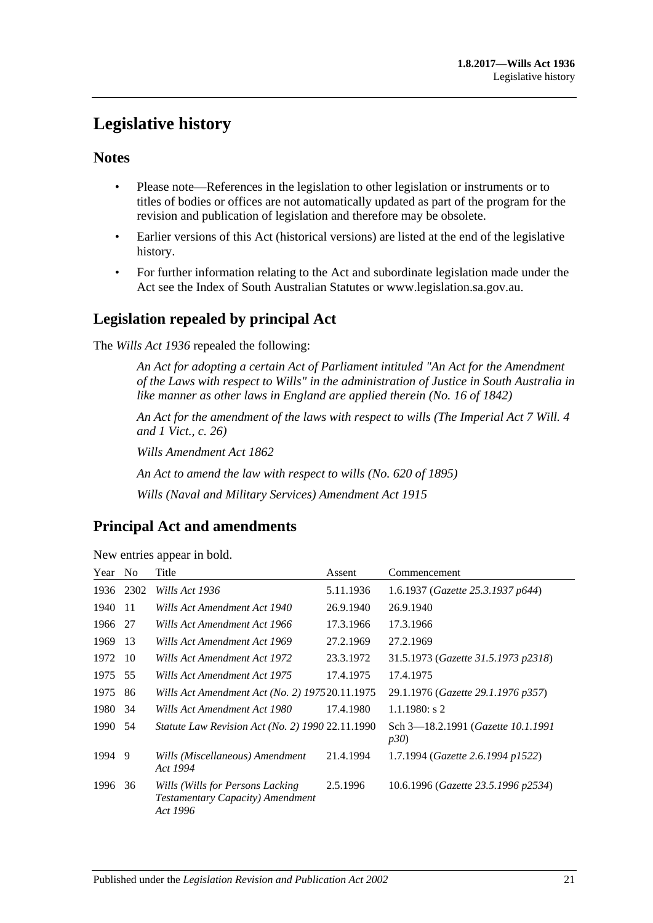## <span id="page-20-0"></span>**Legislative history**

## **Notes**

- Please note—References in the legislation to other legislation or instruments or to titles of bodies or offices are not automatically updated as part of the program for the revision and publication of legislation and therefore may be obsolete.
- Earlier versions of this Act (historical versions) are listed at the end of the legislative history.
- For further information relating to the Act and subordinate legislation made under the Act see the Index of South Australian Statutes or www.legislation.sa.gov.au.

## **Legislation repealed by principal Act**

The *Wills Act 1936* repealed the following:

*An Act for adopting a certain Act of Parliament intituled "An Act for the Amendment of the Laws with respect to Wills" in the administration of Justice in South Australia in like manner as other laws in England are applied therein (No. 16 of 1842)*

*An Act for the amendment of the laws with respect to wills (The Imperial Act 7 Will. 4 and 1 Vict., c. 26)*

*Wills Amendment Act 1862*

*An Act to amend the law with respect to wills (No. 620 of 1895)*

*Wills (Naval and Military Services) Amendment Act 1915*

## **Principal Act and amendments**

| Year | N <sub>0</sub> | Title                                                                             | Assent    | Commencement                                               |
|------|----------------|-----------------------------------------------------------------------------------|-----------|------------------------------------------------------------|
| 1936 | 2302           | Wills Act 1936                                                                    | 5.11.1936 | 1.6.1937 (Gazette 25.3.1937 p644)                          |
| 1940 | -11            | Wills Act Amendment Act 1940                                                      | 26.9.1940 | 26.9.1940                                                  |
| 1966 | 27             | Wills Act Amendment Act 1966                                                      | 17.3.1966 | 17.3.1966                                                  |
| 1969 | 13             | Wills Act Amendment Act 1969                                                      | 27.2.1969 | 27.2.1969                                                  |
| 1972 | 10             | Wills Act Amendment Act 1972                                                      | 23.3.1972 | 31.5.1973 (Gazette 31.5.1973 p2318)                        |
| 1975 | 55             | Wills Act Amendment Act 1975                                                      | 17.4.1975 | 17.4.1975                                                  |
| 1975 | 86             | Wills Act Amendment Act (No. 2) 197520.11.1975                                    |           | 29.1.1976 (Gazette 29.1.1976 p357)                         |
| 1980 | 34             | Wills Act Amendment Act 1980                                                      | 17.4.1980 | $1.1.1980$ : s 2                                           |
| 1990 | .54            | Statute Law Revision Act (No. 2) 1990 22.11.1990                                  |           | Sch 3—18.2.1991 ( <i>Gazette 10.1.1991</i><br><i>p30</i> ) |
| 1994 | 9              | Wills (Miscellaneous) Amendment<br>Act 1994                                       | 21.4.1994 | 1.7.1994 (Gazette 2.6.1994 p1522)                          |
| 1996 | 36             | Wills (Wills for Persons Lacking)<br>Testamentary Capacity) Amendment<br>Act 1996 | 2.5.1996  | 10.6.1996 (Gazette 23.5.1996 p2534)                        |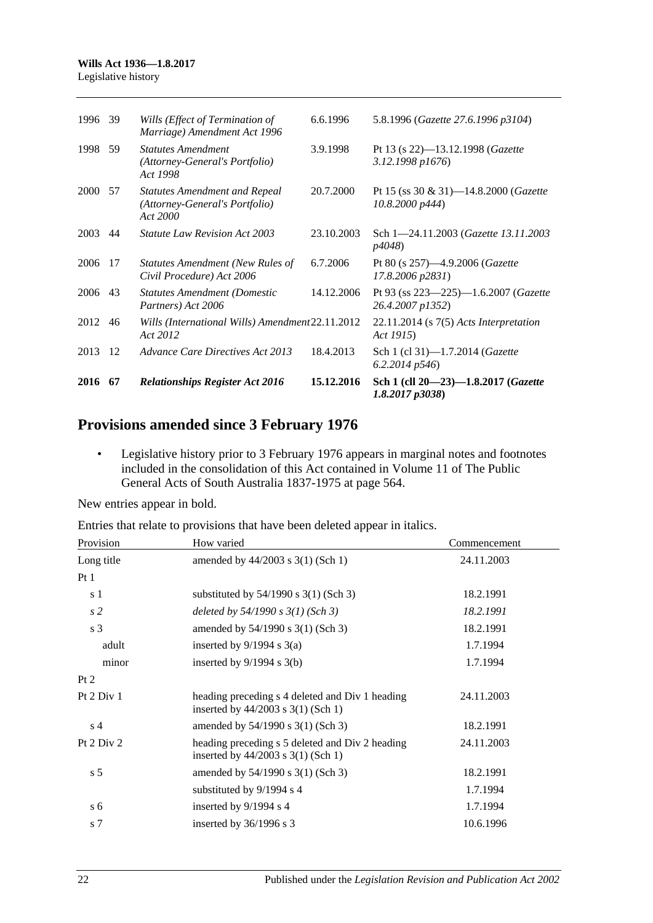| 1996        | -39 | Wills (Effect of Termination of<br>Marriage) Amendment Act 1996                    | 6.6.1996   | 5.8.1996 (Gazette 27.6.1996 p3104)                                    |
|-------------|-----|------------------------------------------------------------------------------------|------------|-----------------------------------------------------------------------|
| 1998        | 59  | <b>Statutes Amendment</b><br>(Attorney-General's Portfolio)<br>Act 1998            | 3.9.1998   | Pt 13 (s 22)-13.12.1998 ( <i>Gazette</i><br>3.12.1998 p1676)          |
| <b>2000</b> | 57  | <b>Statutes Amendment and Repeal</b><br>(Attorney-General's Portfolio)<br>Act 2000 | 20.7.2000  | Pt 15 (ss 30 & 31)—14.8.2000 ( <i>Gazette</i><br>10.8,2000 p444       |
| 2003        | 44  | <b>Statute Law Revision Act 2003</b>                                               | 23.10.2003 | Sch 1-24.11.2003 ( <i>Gazette 13.11.2003</i><br><i>p4048</i> )        |
| 2006        | -17 | Statutes Amendment (New Rules of<br>Civil Procedure) Act 2006                      | 6.7.2006   | Pt 80 (s $257$ )—4.9.2006 ( <i>Gazette</i><br>17.8.2006 p2831)        |
| 2006 43     |     | <b>Statutes Amendment (Domestic</b><br>Partners) Act 2006                          | 14.12.2006 | Pt 93 (ss $223 - 225$ )-1.6.2007 ( <i>Gazette</i><br>26.4.2007 p1352) |
| 2012        | 46  | Wills (International Wills) Amendment 22.11.2012<br>Act 2012                       |            | $22.11.2014$ (s $7(5)$ Acts Interpretation<br>Act 1915)               |
| 2013        | -12 | Advance Care Directives Act 2013                                                   | 18.4.2013  | Sch 1 (cl 31)-1.7.2014 ( <i>Gazette</i><br>$6.2.2014\ p546$           |
| 2016        | -67 | <b>Relationships Register Act 2016</b>                                             | 15.12.2016 | Sch 1 (cll 20-23)-1.8.2017 (Gazette<br>$1.8.2017$ $p3038$ )           |

## **Provisions amended since 3 February 1976**

• Legislative history prior to 3 February 1976 appears in marginal notes and footnotes included in the consolidation of this Act contained in Volume 11 of The Public General Acts of South Australia 1837-1975 at page 564.

New entries appear in bold.

Entries that relate to provisions that have been deleted appear in italics.

| Provision      | How varied                                                                                | Commencement |
|----------------|-------------------------------------------------------------------------------------------|--------------|
| Long title     | amended by $44/2003$ s 3(1) (Sch 1)                                                       | 24.11.2003   |
| Pt1            |                                                                                           |              |
| s 1            | substituted by $54/1990$ s $3(1)$ (Sch 3)                                                 | 18.2.1991    |
| s <sub>2</sub> | deleted by $54/1990$ s $3(1)$ (Sch 3)                                                     | 18.2.1991    |
| s <sub>3</sub> | amended by 54/1990 s 3(1) (Sch 3)                                                         | 18.2.1991    |
| adult          | inserted by $9/1994$ s $3(a)$                                                             | 1.7.1994     |
| minor          | inserted by $9/1994$ s $3(b)$                                                             | 1.7.1994     |
| Pt 2           |                                                                                           |              |
| Pt 2 Div 1     | heading preceding s 4 deleted and Div 1 heading<br>inserted by 44/2003 s 3(1) (Sch 1)     | 24.11.2003   |
| s <sub>4</sub> | amended by 54/1990 s 3(1) (Sch 3)                                                         | 18.2.1991    |
| Pt 2 Div 2     | heading preceding s 5 deleted and Div 2 heading<br>inserted by $44/2003$ s $3(1)$ (Sch 1) | 24.11.2003   |
| s <sub>5</sub> | amended by 54/1990 s 3(1) (Sch 3)                                                         | 18.2.1991    |
|                | substituted by $9/1994$ s 4                                                               | 1.7.1994     |
| s <sub>6</sub> | inserted by 9/1994 s 4                                                                    | 1.7.1994     |
| s <sub>7</sub> | inserted by $36/1996$ s 3                                                                 | 10.6.1996    |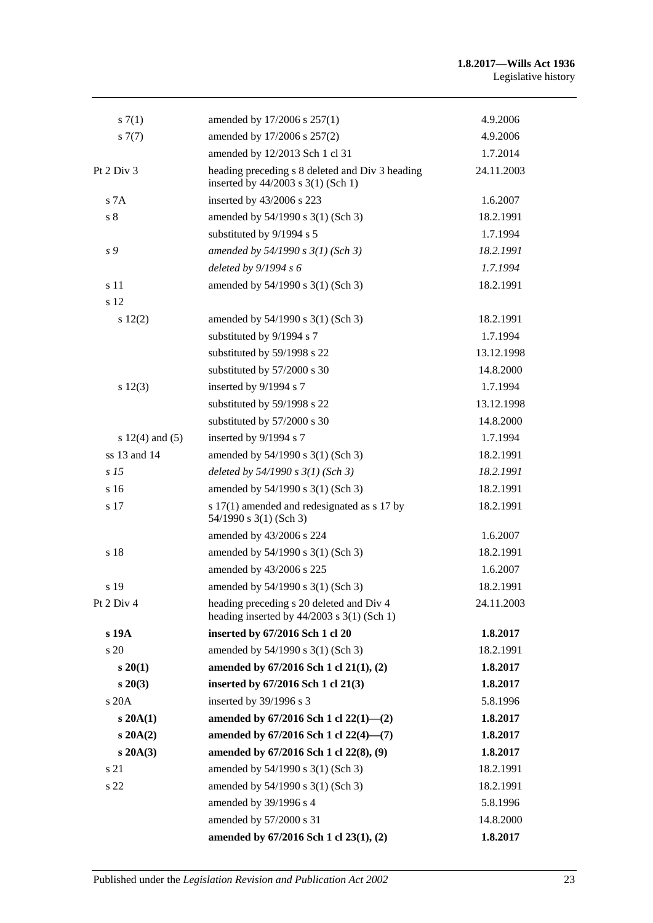| s(7(1))             | amended by 17/2006 s 257(1)                                                                | 4.9.2006   |
|---------------------|--------------------------------------------------------------------------------------------|------------|
| s7(7)               | amended by 17/2006 s 257(2)                                                                | 4.9.2006   |
|                     | amended by 12/2013 Sch 1 cl 31                                                             | 1.7.2014   |
| Pt 2 Div 3          | heading preceding s 8 deleted and Div 3 heading<br>inserted by 44/2003 s 3(1) (Sch 1)      | 24.11.2003 |
| S <sub>7A</sub>     | inserted by 43/2006 s 223                                                                  | 1.6.2007   |
| s <sub>8</sub>      | amended by 54/1990 s 3(1) (Sch 3)                                                          | 18.2.1991  |
|                     | substituted by 9/1994 s 5                                                                  | 1.7.1994   |
| s 9                 | amended by 54/1990 s 3(1) (Sch 3)                                                          | 18.2.1991  |
|                     | deleted by 9/1994 s 6                                                                      | 1.7.1994   |
| s 11                | amended by 54/1990 s 3(1) (Sch 3)                                                          | 18.2.1991  |
| s 12                |                                                                                            |            |
| $s\ 12(2)$          | amended by 54/1990 s 3(1) (Sch 3)                                                          | 18.2.1991  |
|                     | substituted by 9/1994 s 7                                                                  | 1.7.1994   |
|                     | substituted by 59/1998 s 22                                                                | 13.12.1998 |
|                     | substituted by 57/2000 s 30                                                                | 14.8.2000  |
| s 12(3)             | inserted by 9/1994 s 7                                                                     | 1.7.1994   |
|                     | substituted by 59/1998 s 22                                                                | 13.12.1998 |
|                     | substituted by 57/2000 s 30                                                                | 14.8.2000  |
| s $12(4)$ and $(5)$ | inserted by 9/1994 s 7                                                                     | 1.7.1994   |
| ss 13 and 14        | amended by 54/1990 s 3(1) (Sch 3)                                                          | 18.2.1991  |
| s <sub>15</sub>     | deleted by $54/1990 s 3(1)$ (Sch 3)                                                        | 18.2.1991  |
| s <sub>16</sub>     | amended by 54/1990 s 3(1) (Sch 3)                                                          | 18.2.1991  |
| s 17                | s 17(1) amended and redesignated as s 17 by<br>54/1990 s 3(1) (Sch 3)                      | 18.2.1991  |
|                     | amended by 43/2006 s 224                                                                   | 1.6.2007   |
| s 18                | amended by 54/1990 s 3(1) (Sch 3)                                                          | 18.2.1991  |
|                     | amended by 43/2006 s 225                                                                   | 1.6.2007   |
| s 19                | amended by 54/1990 s 3(1) (Sch 3)                                                          | 18.2.1991  |
| Pt 2 Div 4          | heading preceding s 20 deleted and Div 4<br>heading inserted by $44/2003$ s $3(1)$ (Sch 1) | 24.11.2003 |
| s 19A               | inserted by 67/2016 Sch 1 cl 20                                                            | 1.8.2017   |
| s 20                | amended by 54/1990 s 3(1) (Sch 3)                                                          | 18.2.1991  |
| $s\,20(1)$          | amended by 67/2016 Sch 1 cl 21(1), (2)                                                     | 1.8.2017   |
| $s\,20(3)$          | inserted by 67/2016 Sch 1 cl 21(3)                                                         | 1.8.2017   |
| s 20A               | inserted by 39/1996 s 3                                                                    | 5.8.1996   |
| $s\,20A(1)$         | amended by $67/2016$ Sch 1 cl $22(1)$ — $(2)$                                              | 1.8.2017   |
| $s$ 20A $(2)$       | amended by 67/2016 Sch 1 cl 22(4)-(7)                                                      | 1.8.2017   |
| $s\,20A(3)$         | amended by 67/2016 Sch 1 cl 22(8), (9)                                                     | 1.8.2017   |
| s 21                | amended by 54/1990 s 3(1) (Sch 3)                                                          | 18.2.1991  |
| s 22                | amended by 54/1990 s 3(1) (Sch 3)                                                          | 18.2.1991  |
|                     | amended by 39/1996 s 4                                                                     | 5.8.1996   |
|                     | amended by 57/2000 s 31                                                                    | 14.8.2000  |
|                     | amended by 67/2016 Sch 1 cl 23(1), (2)                                                     | 1.8.2017   |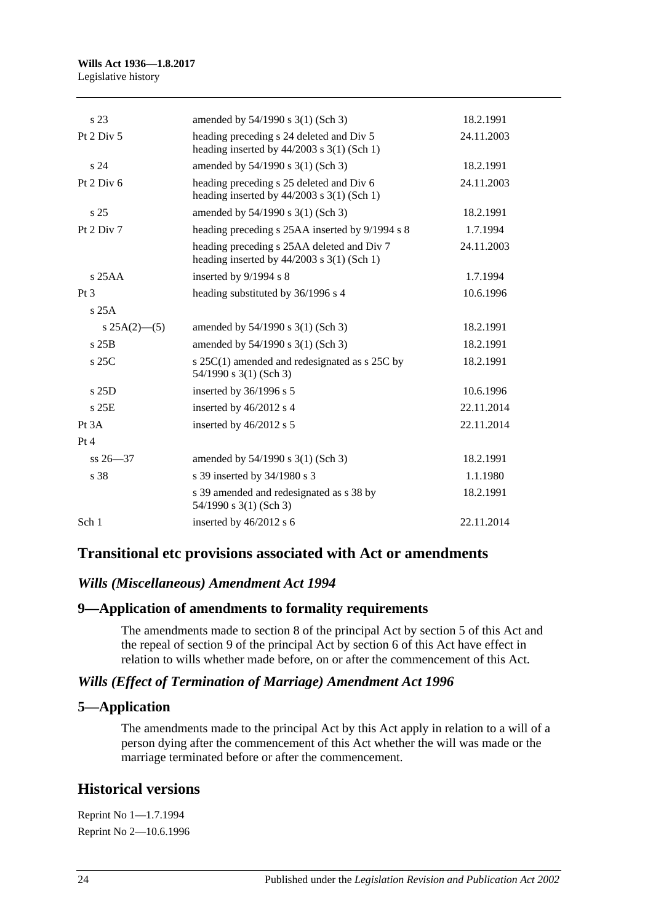| amended by 54/1990 s 3(1) (Sch 3)                                                          | 18.2.1991  |
|--------------------------------------------------------------------------------------------|------------|
|                                                                                            |            |
| heading preceding s 24 deleted and Div 5<br>heading inserted by $44/2003$ s 3(1) (Sch 1)   | 24.11.2003 |
| amended by 54/1990 s 3(1) (Sch 3)                                                          | 18.2.1991  |
| heading preceding s 25 deleted and Div 6<br>heading inserted by $44/2003$ s 3(1) (Sch 1)   | 24.11.2003 |
| amended by 54/1990 s 3(1) (Sch 3)                                                          | 18.2.1991  |
| heading preceding s 25AA inserted by 9/1994 s 8                                            | 1.7.1994   |
| heading preceding s 25AA deleted and Div 7<br>heading inserted by $44/2003$ s 3(1) (Sch 1) | 24.11.2003 |
| inserted by 9/1994 s 8                                                                     | 1.7.1994   |
|                                                                                            |            |
| heading substituted by 36/1996 s 4                                                         | 10.6.1996  |
|                                                                                            |            |
| amended by $54/1990$ s $3(1)$ (Sch 3)                                                      | 18.2.1991  |
| amended by 54/1990 s 3(1) (Sch 3)                                                          | 18.2.1991  |
| s 25C(1) amended and redesignated as s 25C by<br>$54/1990$ s 3(1) (Sch 3)                  | 18.2.1991  |
| inserted by $36/1996$ s 5                                                                  | 10.6.1996  |
| inserted by 46/2012 s 4                                                                    | 22.11.2014 |
| inserted by 46/2012 s 5                                                                    | 22.11.2014 |
|                                                                                            |            |
| amended by 54/1990 s 3(1) (Sch 3)                                                          | 18.2.1991  |
| s 39 inserted by 34/1980 s 3                                                               | 1.1.1980   |
| s 39 amended and redesignated as s 38 by<br>54/1990 s 3(1) (Sch 3)                         | 18.2.1991  |
|                                                                                            |            |

## **Transitional etc provisions associated with Act or amendments**

## *Wills (Miscellaneous) Amendment Act 1994*

### **9—Application of amendments to formality requirements**

The amendments made to section 8 of the principal Act by section 5 of this Act and the repeal of section 9 of the principal Act by section 6 of this Act have effect in relation to wills whether made before, on or after the commencement of this Act.

### *Wills (Effect of Termination of Marriage) Amendment Act 1996*

### **5—Application**

The amendments made to the principal Act by this Act apply in relation to a will of a person dying after the commencement of this Act whether the will was made or the marriage terminated before or after the commencement.

## **Historical versions**

Reprint No 1—1.7.1994 Reprint No 2—10.6.1996